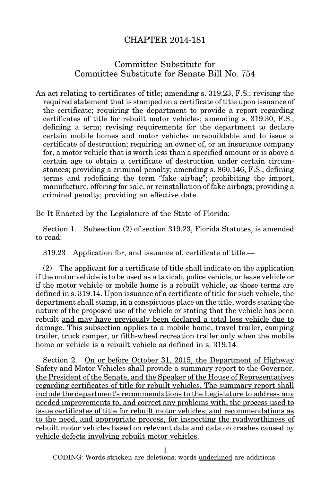## CHAPTER 2014-181

## Committee Substitute for Committee Substitute for Senate Bill No. 754

An act relating to certificates of title; amending s. 319.23, F.S.; revising the required statement that is stamped on a certificate of title upon issuance of the certificate; requiring the department to provide a report regarding certificates of title for rebuilt motor vehicles; amending s. 319.30, F.S.; defining a term; revising requirements for the department to declare certain mobile homes and motor vehicles unrebuildable and to issue a certificate of destruction; requiring an owner of, or an insurance company for, a motor vehicle that is worth less than a specified amount or is above a certain age to obtain a certificate of destruction under certain circumstances; providing a criminal penalty; amending s. 860.146, F.S.; defining terms and redefining the term "fake airbag"; prohibiting the import, manufacture, offering for sale, or reinstallation of fake airbags; providing a criminal penalty; providing an effective date.

Be It Enacted by the Legislature of the State of Florida:

Section 1. Subsection (2) of section 319.23, Florida Statutes, is amended to read:

319.23 Application for, and issuance of, certificate of title.—

(2) The applicant for a certificate of title shall indicate on the application if the motor vehicle is to be used as a taxicab, police vehicle, or lease vehicle or if the motor vehicle or mobile home is a rebuilt vehicle, as those terms are defined in s. 319.14. Upon issuance of a certificate of title for such vehicle, the department shall stamp, in a conspicuous place on the title, words stating the nature of the proposed use of the vehicle or stating that the vehicle has been rebuilt and may have previously been declared a total loss vehicle due to damage. This subsection applies to a mobile home, travel trailer, camping trailer, truck camper, or fifth-wheel recreation trailer only when the mobile home or vehicle is a rebuilt vehicle as defined in s. 319.14.

Section 2. On or before October 31, 2015, the Department of Highway Safety and Motor Vehicles shall provide a summary report to the Governor, the President of the Senate, and the Speaker of the House of Representatives regarding certificates of title for rebuilt vehicles. The summary report shall include the department's recommendations to the Legislature to address any needed improvements to, and correct any problems with, the process used to issue certificates of title for rebuilt motor vehicles; and recommendations as to the need, and appropriate process, for inspecting the roadworthiness of rebuilt motor vehicles based on relevant data and data on crashes caused by vehicle defects involving rebuilt motor vehicles.

1

CODING: Words stricken are deletions; words underlined are additions.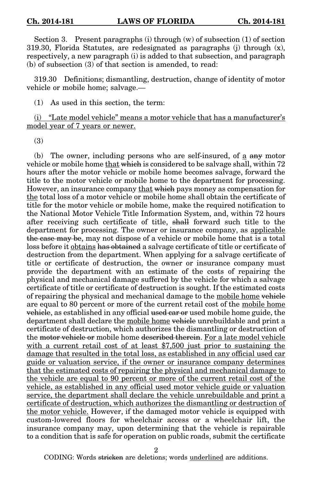Section 3. Present paragraphs (i) through (w) of subsection (1) of section 319.30, Florida Statutes, are redesignated as paragraphs (j) through (x), respectively, a new paragraph (i) is added to that subsection, and paragraph (b) of subsection (3) of that section is amended, to read:

319.30 Definitions; dismantling, destruction, change of identity of motor vehicle or mobile home; salvage.—

(1) As used in this section, the term:

(i) "Late model vehicle" means a motor vehicle that has a manufacturer's model year of 7 years or newer.

(3)

(b) The owner, including persons who are self-insured, of a any motor vehicle or mobile home that which is considered to be salvage shall, within 72 hours after the motor vehicle or mobile home becomes salvage, forward the title to the motor vehicle or mobile home to the department for processing. However, an insurance company that which pays money as compensation for the total loss of a motor vehicle or mobile home shall obtain the certificate of title for the motor vehicle or mobile home, make the required notification to the National Motor Vehicle Title Information System, and, within 72 hours after receiving such certificate of title, shall forward such title to the department for processing. The owner or insurance company, as applicable the case may be, may not dispose of a vehicle or mobile home that is a total loss before it obtains has obtained a salvage certificate of title or certificate of destruction from the department. When applying for a salvage certificate of title or certificate of destruction, the owner or insurance company must provide the department with an estimate of the costs of repairing the physical and mechanical damage suffered by the vehicle for which a salvage certificate of title or certificate of destruction is sought. If the estimated costs of repairing the physical and mechanical damage to the mobile home vehicle are equal to 80 percent or more of the current retail cost of the mobile home vehicle, as established in any official used car or used mobile home guide, the department shall declare the mobile home vehicle unrebuildable and print a certificate of destruction, which authorizes the dismantling or destruction of the motor vehicle or mobile home described therein. For a late model vehicle with a current retail cost of at least \$7,500 just prior to sustaining the damage that resulted in the total loss, as established in any official used car guide or valuation service, if the owner or insurance company determines that the estimated costs of repairing the physical and mechanical damage to the vehicle are equal to 90 percent or more of the current retail cost of the vehicle, as established in any official used motor vehicle guide or valuation service, the department shall declare the vehicle unrebuildable and print a certificate of destruction, which authorizes the dismantling or destruction of the motor vehicle. However, if the damaged motor vehicle is equipped with custom-lowered floors for wheelchair access or a wheelchair lift, the insurance company may, upon determining that the vehicle is repairable to a condition that is safe for operation on public roads, submit the certificate

2

CODING: Words stricken are deletions; words underlined are additions.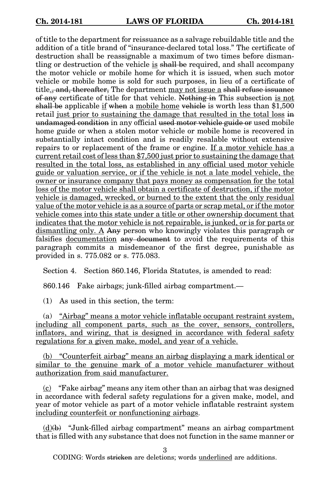of title to the department for reissuance as a salvage rebuildable title and the addition of a title brand of "insurance-declared total loss." The certificate of destruction shall be reassignable a maximum of two times before dismantling or destruction of the vehicle is shall be required, and shall accompany the motor vehicle or mobile home for which it is issued, when such motor vehicle or mobile home is sold for such purposes, in lieu of a certificate of title<sub>s</sub>, and, thereafter, The department may not issue a shall refuse issuance of any certificate of title for that vehicle. Nothing in This subsection is not shall be applicable if when a mobile home vehicle is worth less than \$1,500 retail just prior to sustaining the damage that resulted in the total loss in undamaged condition in any official used motor vehicle guide or used mobile home guide or when a stolen motor vehicle or mobile home is recovered in substantially intact condition and is readily resalable without extensive repairs to or replacement of the frame or engine. If a motor vehicle has a current retail cost of less than \$7,500 just prior to sustaining the damage that resulted in the total loss, as established in any official used motor vehicle guide or valuation service, or if the vehicle is not a late model vehicle, the owner or insurance company that pays money as compensation for the total loss of the motor vehicle shall obtain a certificate of destruction, if the motor vehicle is damaged, wrecked, or burned to the extent that the only residual value of the motor vehicle is as a source of parts or scrap metal, or if the motor vehicle comes into this state under a title or other ownership document that indicates that the motor vehicle is not repairable, is junked, or is for parts or dismantling only. A Any person who knowingly violates this paragraph or falsifies documentation any document to avoid the requirements of this paragraph commits a misdemeanor of the first degree, punishable as provided in s. 775.082 or s. 775.083.

Section 4. Section 860.146, Florida Statutes, is amended to read:

860.146 Fake airbags; junk-filled airbag compartment.—

(1) As used in this section, the term:

(a) "Airbag" means a motor vehicle inflatable occupant restraint system, including all component parts, such as the cover, sensors, controllers, inflators, and wiring, that is designed in accordance with federal safety regulations for a given make, model, and year of a vehicle.

(b) "Counterfeit airbag" means an airbag displaying a mark identical or similar to the genuine mark of a motor vehicle manufacturer without authorization from said manufacturer.

 $(c)$  "Fake airbag" means any item other than an airbag that was designed in accordance with federal safety regulations for a given make, model, and year of motor vehicle as part of a motor vehicle inflatable restraint system including counterfeit or nonfunctioning airbags.

 $(d)(b)$  "Junk-filled airbag compartment" means an airbag compartment that is filled with any substance that does not function in the same manner or

3

CODING: Words stricken are deletions; words underlined are additions.